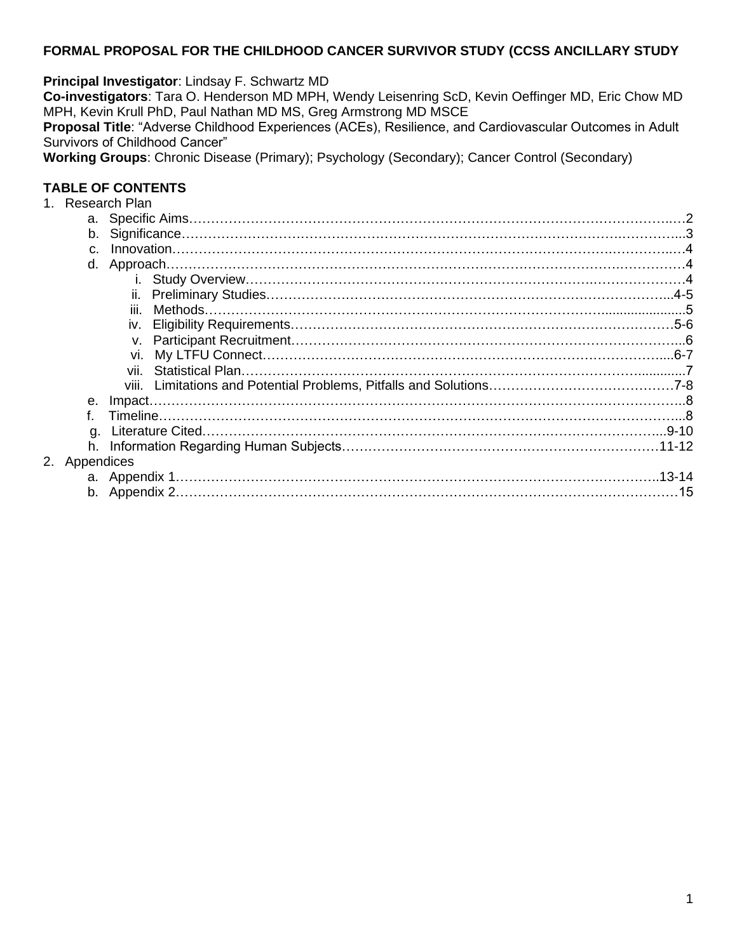### **FORMAL PROPOSAL FOR THE CHILDHOOD CANCER SURVIVOR STUDY (CCSS ANCILLARY STUDY**

**Principal Investigator**: Lindsay F. Schwartz MD

**Co-investigators**: Tara O. Henderson MD MPH, Wendy Leisenring ScD, Kevin Oeffinger MD, Eric Chow MD MPH, Kevin Krull PhD, Paul Nathan MD MS, Greg Armstrong MD MSCE

**Proposal Title**: "Adverse Childhood Experiences (ACEs), Resilience, and Cardiovascular Outcomes in Adult Survivors of Childhood Cancer"

**Working Groups**: Chronic Disease (Primary); Psychology (Secondary); Cancer Control (Secondary)

### **TABLE OF CONTENTS**

|               | 1. Research Plan |  |
|---------------|------------------|--|
|               |                  |  |
|               |                  |  |
| $C_{\rm L}$   |                  |  |
|               |                  |  |
|               |                  |  |
|               |                  |  |
|               | iii.             |  |
|               |                  |  |
|               |                  |  |
|               |                  |  |
|               | vii.             |  |
|               |                  |  |
| $e_{1}$       |                  |  |
|               |                  |  |
| a.            |                  |  |
| h.            |                  |  |
| 2. Appendices |                  |  |
|               |                  |  |
|               |                  |  |
|               |                  |  |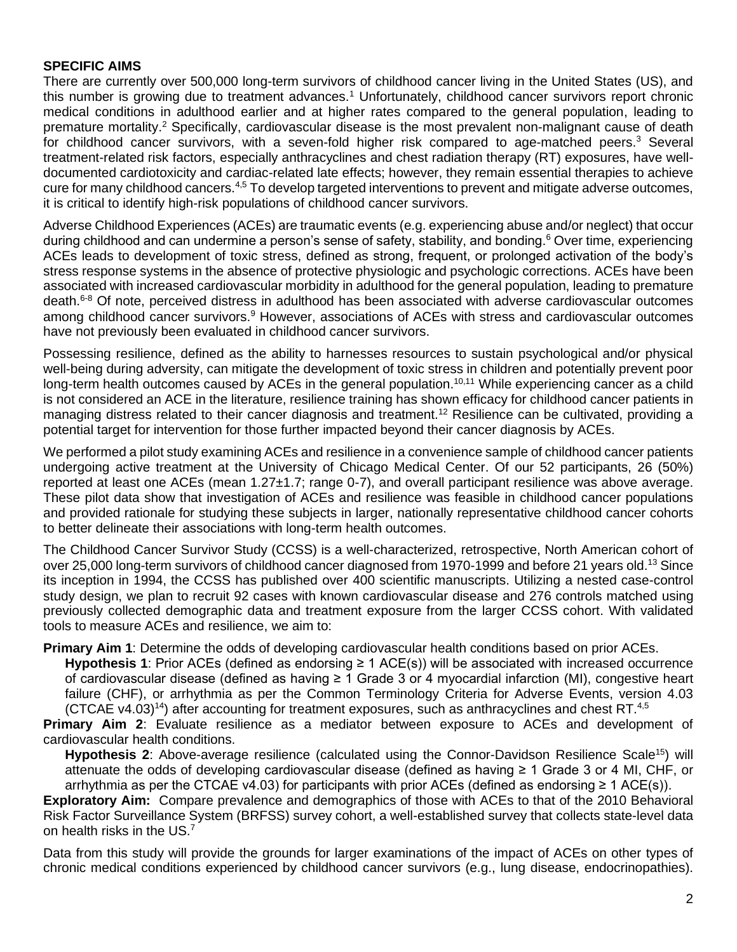### **SPECIFIC AIMS**

There are currently over 500,000 long-term survivors of childhood cancer living in the United States (US), and this number is growing due to treatment advances.<sup>1</sup> Unfortunately, childhood cancer survivors report chronic medical conditions in adulthood earlier and at higher rates compared to the general population, leading to premature mortality.<sup>2</sup> Specifically, cardiovascular disease is the most prevalent non-malignant cause of death for childhood cancer survivors, with a seven-fold higher risk compared to age-matched peers.<sup>3</sup> Several treatment-related risk factors, especially anthracyclines and chest radiation therapy (RT) exposures, have welldocumented cardiotoxicity and cardiac-related late effects; however, they remain essential therapies to achieve cure for many childhood cancers.<sup>4,5</sup> To develop targeted interventions to prevent and mitigate adverse outcomes, it is critical to identify high-risk populations of childhood cancer survivors.

Adverse Childhood Experiences (ACEs) are traumatic events (e.g. experiencing abuse and/or neglect) that occur during childhood and can undermine a person's sense of safety, stability, and bonding.<sup>6</sup> Over time, experiencing ACEs leads to development of toxic stress, defined as strong, frequent, or prolonged activation of the body's stress response systems in the absence of protective physiologic and psychologic corrections. ACEs have been associated with increased cardiovascular morbidity in adulthood for the general population, leading to premature death.6-8 Of note, perceived distress in adulthood has been associated with adverse cardiovascular outcomes among childhood cancer survivors.<sup>9</sup> However, associations of ACEs with stress and cardiovascular outcomes have not previously been evaluated in childhood cancer survivors.

Possessing resilience, defined as the ability to harnesses resources to sustain psychological and/or physical well-being during adversity, can mitigate the development of toxic stress in children and potentially prevent poor long-term health outcomes caused by ACEs in the general population.<sup>10,11</sup> While experiencing cancer as a child is not considered an ACE in the literature, resilience training has shown efficacy for childhood cancer patients in managing distress related to their cancer diagnosis and treatment.<sup>12</sup> Resilience can be cultivated, providing a potential target for intervention for those further impacted beyond their cancer diagnosis by ACEs.

We performed a pilot study examining ACEs and resilience in a convenience sample of childhood cancer patients undergoing active treatment at the University of Chicago Medical Center. Of our 52 participants, 26 (50%) reported at least one ACEs (mean 1.27±1.7; range 0-7), and overall participant resilience was above average. These pilot data show that investigation of ACEs and resilience was feasible in childhood cancer populations and provided rationale for studying these subjects in larger, nationally representative childhood cancer cohorts to better delineate their associations with long-term health outcomes.

The Childhood Cancer Survivor Study (CCSS) is a well-characterized, retrospective, North American cohort of over 25,000 long-term survivors of childhood cancer diagnosed from 1970-1999 and before 21 years old.<sup>13</sup> Since its inception in 1994, the CCSS has published over 400 scientific manuscripts. Utilizing a nested case-control study design, we plan to recruit 92 cases with known cardiovascular disease and 276 controls matched using previously collected demographic data and treatment exposure from the larger CCSS cohort. With validated tools to measure ACEs and resilience, we aim to:

#### **Primary Aim 1**: Determine the odds of developing cardiovascular health conditions based on prior ACEs.

**Hypothesis 1**: Prior ACEs (defined as endorsing ≥ 1 ACE(s)) will be associated with increased occurrence of cardiovascular disease (defined as having  $\geq 1$  Grade 3 or 4 myocardial infarction (MI), congestive heart failure (CHF), or arrhythmia as per the Common Terminology Criteria for Adverse Events, version 4.03 (CTCAE v4.03)<sup>14</sup>) after accounting for treatment exposures, such as anthracyclines and chest RT.<sup>4,5</sup>

**Primary Aim 2**: Evaluate resilience as a mediator between exposure to ACEs and development of cardiovascular health conditions.

Hypothesis 2: Above-average resilience (calculated using the Connor-Davidson Resilience Scale<sup>15</sup>) will attenuate the odds of developing cardiovascular disease (defined as having ≥ 1 Grade 3 or 4 MI, CHF, or arrhythmia as per the CTCAE v4.03) for participants with prior ACEs (defined as endorsing  $\geq 1$  ACE(s)).

**Exploratory Aim:** Compare prevalence and demographics of those with ACEs to that of the 2010 Behavioral Risk Factor Surveillance System (BRFSS) survey cohort, a well-established survey that collects state-level data on health risks in the US.<sup>7</sup>

Data from this study will provide the grounds for larger examinations of the impact of ACEs on other types of chronic medical conditions experienced by childhood cancer survivors (e.g., lung disease, endocrinopathies).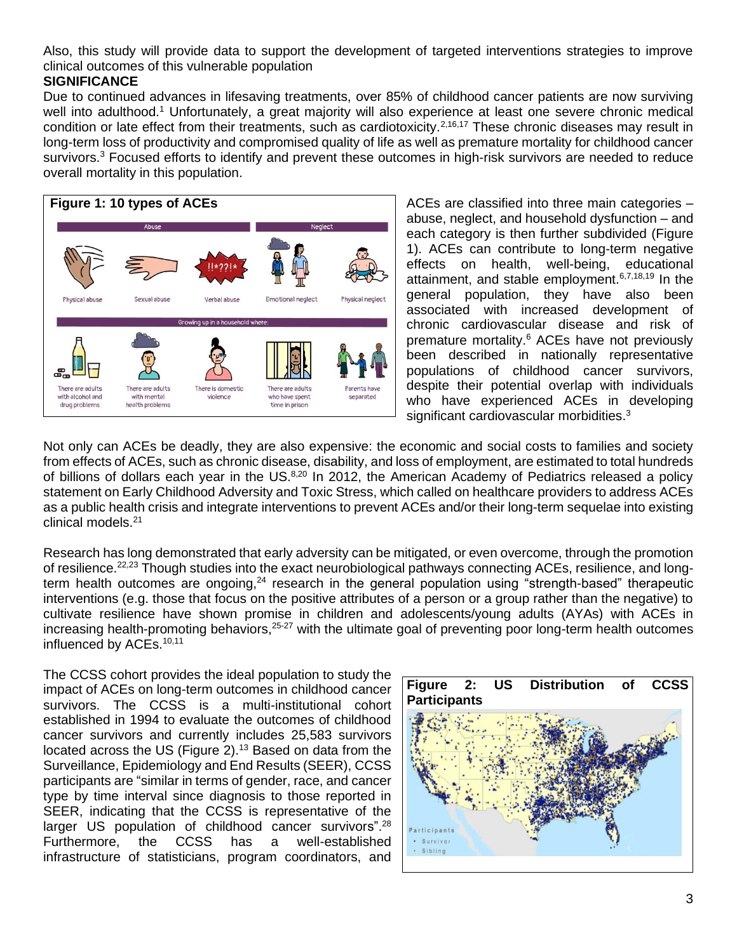Also, this study will provide data to support the development of targeted interventions strategies to improve clinical outcomes of this vulnerable population

#### **SIGNIFICANCE**

Due to continued advances in lifesaving treatments, over 85% of childhood cancer patients are now surviving well into adulthood.<sup>1</sup> Unfortunately, a great majority will also experience at least one severe chronic medical condition or late effect from their treatments, such as cardiotoxicity.<sup>2,16,17</sup> These chronic diseases may result in long-term loss of productivity and compromised quality of life as well as premature mortality for childhood cancer survivors.<sup>3</sup> Focused efforts to identify and prevent these outcomes in high-risk survivors are needed to reduce overall mortality in this population.



ACEs are classified into three main categories – abuse, neglect, and household dysfunction – and each category is then further subdivided (Figure 1). ACEs can contribute to long-term negative effects on health, well-being, educational attainment, and stable employment.6,7,18,19 In the general population, they have also been associated with increased development of chronic cardiovascular disease and risk of premature mortality.<sup>6</sup> ACEs have not previously been described in nationally representative populations of childhood cancer survivors, despite their potential overlap with individuals who have experienced ACEs in developing significant cardiovascular morbidities.<sup>3</sup>

Not only can ACEs be deadly, they are also expensive: the economic and social costs to families and society from effects of ACEs, such as chronic disease, disability, and loss of employment, are estimated to total hundreds of billions of dollars each year in the US.<sup>8,20</sup> In 2012, the American Academy of Pediatrics released a policy statement on Early Childhood Adversity and Toxic Stress, which called on healthcare providers to address ACEs as a public health crisis and integrate interventions to prevent ACEs and/or their long-term sequelae into existing clinical models.<sup>21</sup>

Research has long demonstrated that early adversity can be mitigated, or even overcome, through the promotion of resilience.<sup>22,23</sup> Though studies into the exact neurobiological pathways connecting ACEs, resilience, and longterm health outcomes are ongoing,<sup>24</sup> research in the general population using "strength-based" therapeutic interventions (e.g. those that focus on the positive attributes of a person or a group rather than the negative) to cultivate resilience have shown promise in children and adolescents/young adults (AYAs) with ACEs in increasing health-promoting behaviors,<sup>25-27</sup> with the ultimate goal of preventing poor long-term health outcomes influenced by ACEs.<sup>10,11</sup>

The CCSS cohort provides the ideal population to study the impact of ACEs on long-term outcomes in childhood cancer survivors. The CCSS is a multi-institutional cohort established in 1994 to evaluate the outcomes of childhood cancer survivors and currently includes 25,583 survivors located across the US (Figure 2).<sup>13</sup> Based on data from the Surveillance, Epidemiology and End Results (SEER), CCSS participants are "similar in terms of gender, race, and cancer type by time interval since diagnosis to those reported in SEER, indicating that the CCSS is representative of the larger US population of childhood cancer survivors".<sup>28</sup> Furthermore, the CCSS has a well-established infrastructure of statisticians, program coordinators, and

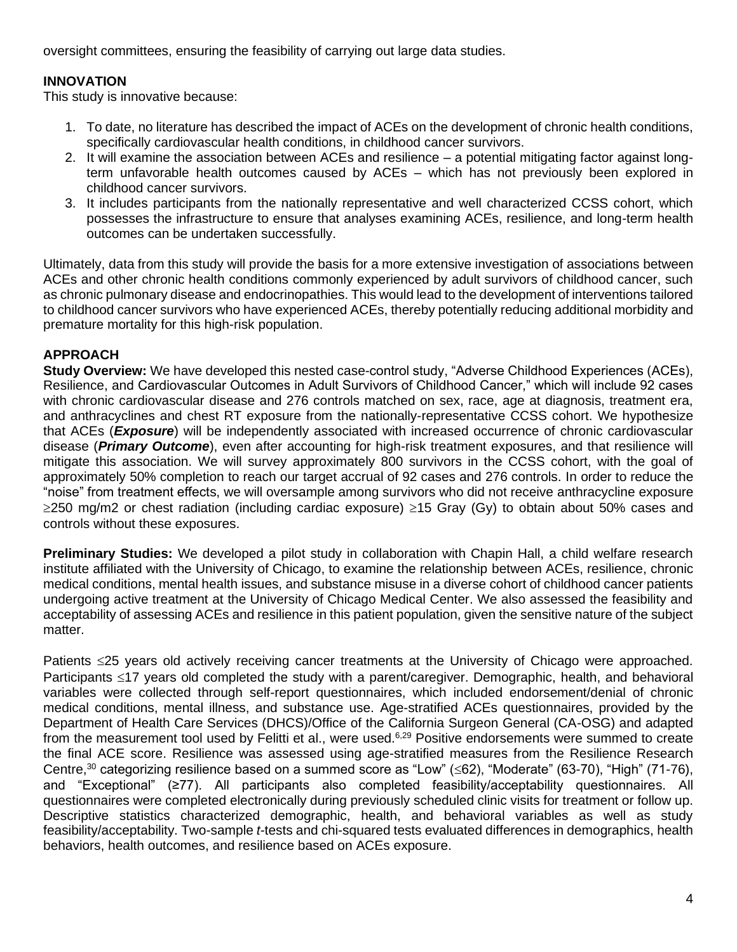oversight committees, ensuring the feasibility of carrying out large data studies.

# **INNOVATION**

This study is innovative because:

- 1. To date, no literature has described the impact of ACEs on the development of chronic health conditions, specifically cardiovascular health conditions, in childhood cancer survivors.
- 2. It will examine the association between ACEs and resilience a potential mitigating factor against longterm unfavorable health outcomes caused by ACEs – which has not previously been explored in childhood cancer survivors.
- 3. It includes participants from the nationally representative and well characterized CCSS cohort, which possesses the infrastructure to ensure that analyses examining ACEs, resilience, and long-term health outcomes can be undertaken successfully.

Ultimately, data from this study will provide the basis for a more extensive investigation of associations between ACEs and other chronic health conditions commonly experienced by adult survivors of childhood cancer, such as chronic pulmonary disease and endocrinopathies. This would lead to the development of interventions tailored to childhood cancer survivors who have experienced ACEs, thereby potentially reducing additional morbidity and premature mortality for this high-risk population.

## **APPROACH**

**Study Overview:** We have developed this nested case-control study, "Adverse Childhood Experiences (ACEs), Resilience, and Cardiovascular Outcomes in Adult Survivors of Childhood Cancer," which will include 92 cases with chronic cardiovascular disease and 276 controls matched on sex, race, age at diagnosis, treatment era, and anthracyclines and chest RT exposure from the nationally-representative CCSS cohort. We hypothesize that ACEs (*Exposure*) will be independently associated with increased occurrence of chronic cardiovascular disease (*Primary Outcome*), even after accounting for high-risk treatment exposures, and that resilience will mitigate this association. We will survey approximately 800 survivors in the CCSS cohort, with the goal of approximately 50% completion to reach our target accrual of 92 cases and 276 controls. In order to reduce the "noise" from treatment effects, we will oversample among survivors who did not receive anthracycline exposure  $\geq$ 250 mg/m2 or chest radiation (including cardiac exposure)  $\geq$ 15 Gray (Gy) to obtain about 50% cases and controls without these exposures.

**Preliminary Studies:** We developed a pilot study in collaboration with Chapin Hall, a child welfare research institute affiliated with the University of Chicago, to examine the relationship between ACEs, resilience, chronic medical conditions, mental health issues, and substance misuse in a diverse cohort of childhood cancer patients undergoing active treatment at the University of Chicago Medical Center. We also assessed the feasibility and acceptability of assessing ACEs and resilience in this patient population, given the sensitive nature of the subject matter.

Patients <25 years old actively receiving cancer treatments at the University of Chicago were approached. Participants <17 years old completed the study with a parent/caregiver. Demographic, health, and behavioral variables were collected through self-report questionnaires, which included endorsement/denial of chronic medical conditions, mental illness, and substance use. Age-stratified ACEs questionnaires, provided by the Department of Health Care Services (DHCS)/Office of the California Surgeon General (CA-OSG) and adapted from the measurement tool used by Felitti et al., were used.<sup>6,29</sup> Positive endorsements were summed to create the final ACE score. Resilience was assessed using age-stratified measures from the Resilience Research Centre,<sup>30</sup> categorizing resilience based on a summed score as "Low" ( $\leq$ 62), "Moderate" (63-70), "High" (71-76), and "Exceptional" (≥77). All participants also completed feasibility/acceptability questionnaires. All questionnaires were completed electronically during previously scheduled clinic visits for treatment or follow up. Descriptive statistics characterized demographic, health, and behavioral variables as well as study feasibility/acceptability. Two-sample *t*-tests and chi-squared tests evaluated differences in demographics, health behaviors, health outcomes, and resilience based on ACEs exposure.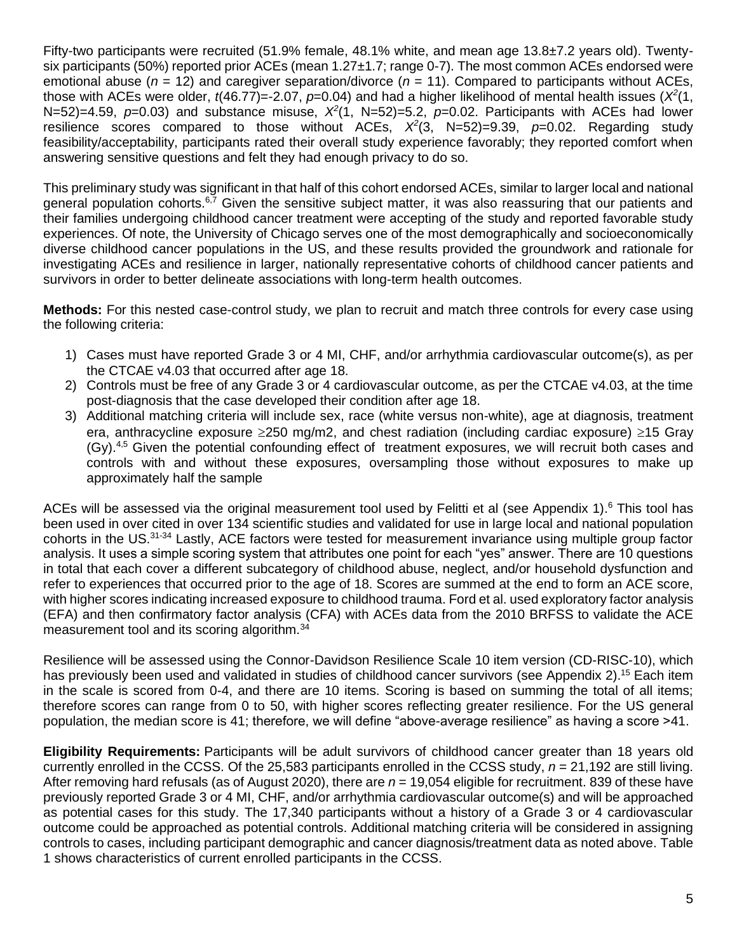Fifty-two participants were recruited (51.9% female, 48.1% white, and mean age 13.8±7.2 years old). Twentysix participants (50%) reported prior ACEs (mean 1.27±1.7; range 0-7). The most common ACEs endorsed were emotional abuse (*n* = 12) and caregiver separation/divorce (*n* = 11). Compared to participants without ACEs, those with ACEs were older,  $t$ (46.77)=-2.07,  $p$ =0.04) and had a higher likelihood of mental health issues ( $X^2(1, 1)$ N=52)=4.59,  $p=0.03$ ) and substance misuse,  $X^2(1, N=52)=5.2$ ,  $p=0.02$ . Participants with ACEs had lower resilience scores compared to those without ACEs,  $X^2(3, N=52)=9.39$ ,  $p=0.02$ . Regarding study feasibility/acceptability, participants rated their overall study experience favorably; they reported comfort when answering sensitive questions and felt they had enough privacy to do so.

This preliminary study was significant in that half of this cohort endorsed ACEs, similar to larger local and national general population cohorts.<sup>6,7</sup> Given the sensitive subject matter, it was also reassuring that our patients and their families undergoing childhood cancer treatment were accepting of the study and reported favorable study experiences. Of note, the University of Chicago serves one of the most demographically and socioeconomically diverse childhood cancer populations in the US, and these results provided the groundwork and rationale for investigating ACEs and resilience in larger, nationally representative cohorts of childhood cancer patients and survivors in order to better delineate associations with long-term health outcomes.

**Methods:** For this nested case-control study, we plan to recruit and match three controls for every case using the following criteria:

- 1) Cases must have reported Grade 3 or 4 MI, CHF, and/or arrhythmia cardiovascular outcome(s), as per the CTCAE v4.03 that occurred after age 18.
- 2) Controls must be free of any Grade 3 or 4 cardiovascular outcome, as per the CTCAE v4.03, at the time post-diagnosis that the case developed their condition after age 18.
- 3) Additional matching criteria will include sex, race (white versus non-white), age at diagnosis, treatment era, anthracycline exposure  $\geq 250$  mg/m2, and chest radiation (including cardiac exposure)  $\geq 15$  Gray (Gy).<sup>4,5</sup> Given the potential confounding effect of treatment exposures, we will recruit both cases and controls with and without these exposures, oversampling those without exposures to make up approximately half the sample

ACEs will be assessed via the original measurement tool used by Felitti et al (see Appendix 1).<sup>6</sup> This tool has been used in over cited in over 134 scientific studies and validated for use in large local and national population cohorts in the US.<sup>31-34</sup> Lastly, ACE factors were tested for measurement invariance using multiple group factor analysis. It uses a simple scoring system that attributes one point for each "yes" answer. There are 10 questions in total that each cover a different subcategory of childhood abuse, neglect, and/or household dysfunction and refer to experiences that occurred prior to the age of 18. Scores are summed at the end to form an ACE score, with higher scores indicating increased exposure to childhood trauma. Ford et al. used exploratory factor analysis (EFA) and then confirmatory factor analysis (CFA) with ACEs data from the 2010 BRFSS to validate the ACE measurement tool and its scoring algorithm.<sup>34</sup>

Resilience will be assessed using the Connor-Davidson Resilience Scale 10 item version (CD-RISC-10), which has previously been used and validated in studies of childhood cancer survivors (see Appendix 2).<sup>15</sup> Each item in the scale is scored from 0-4, and there are 10 items. Scoring is based on summing the total of all items; therefore scores can range from 0 to 50, with higher scores reflecting greater resilience. For the US general population, the median score is 41; therefore, we will define "above-average resilience" as having a score >41.

**Eligibility Requirements:** Participants will be adult survivors of childhood cancer greater than 18 years old currently enrolled in the CCSS. Of the 25,583 participants enrolled in the CCSS study, *n* = 21,192 are still living. After removing hard refusals (as of August 2020), there are *n* = 19,054 eligible for recruitment. 839 of these have previously reported Grade 3 or 4 MI, CHF, and/or arrhythmia cardiovascular outcome(s) and will be approached as potential cases for this study. The 17,340 participants without a history of a Grade 3 or 4 cardiovascular outcome could be approached as potential controls. Additional matching criteria will be considered in assigning controls to cases, including participant demographic and cancer diagnosis/treatment data as noted above. Table 1 shows characteristics of current enrolled participants in the CCSS.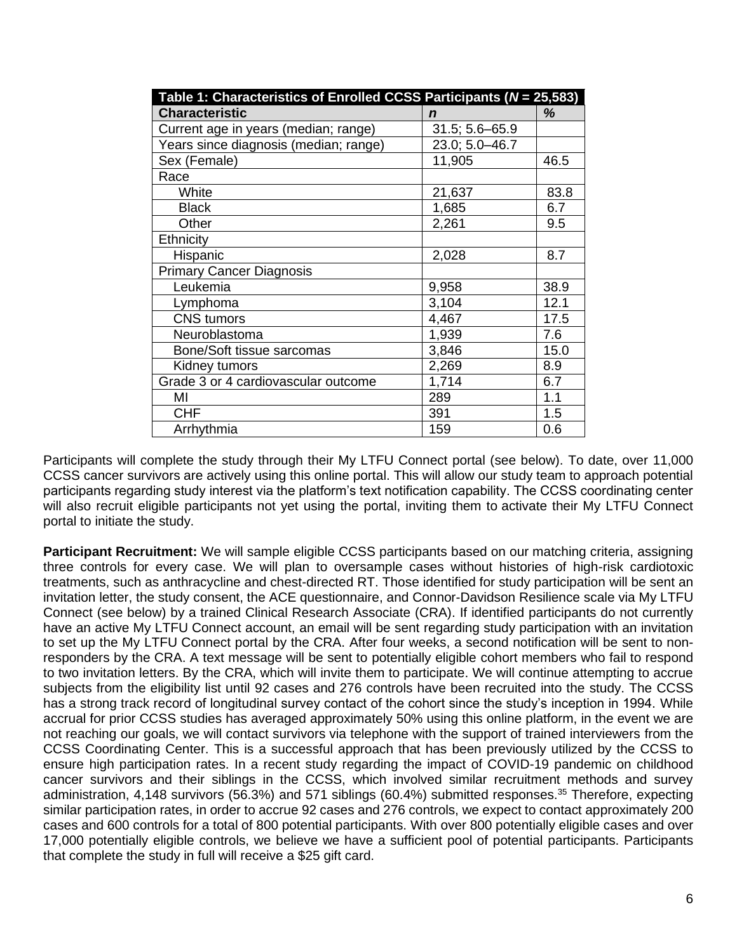| Table 1: Characteristics of Enrolled CCSS Participants ( $N = 25,583$ ) |                    |      |  |  |
|-------------------------------------------------------------------------|--------------------|------|--|--|
| <b>Characteristic</b>                                                   | n                  | ℅    |  |  |
| Current age in years (median; range)                                    | $31.5; 5.6 - 65.9$ |      |  |  |
| Years since diagnosis (median; range)                                   | 23.0; 5.0-46.7     |      |  |  |
| Sex (Female)                                                            | 11,905             | 46.5 |  |  |
| Race                                                                    |                    |      |  |  |
| White                                                                   | 21,637             | 83.8 |  |  |
| <b>Black</b>                                                            | 1,685              | 6.7  |  |  |
| Other                                                                   | 2,261              | 9.5  |  |  |
| Ethnicity                                                               |                    |      |  |  |
| Hispanic                                                                | 2,028              | 8.7  |  |  |
| <b>Primary Cancer Diagnosis</b>                                         |                    |      |  |  |
| Leukemia                                                                | 9,958              | 38.9 |  |  |
| Lymphoma                                                                | 3,104              | 12.1 |  |  |
| <b>CNS</b> tumors                                                       | 4,467              | 17.5 |  |  |
| Neuroblastoma                                                           | 1,939              | 7.6  |  |  |
| Bone/Soft tissue sarcomas                                               | 3,846              | 15.0 |  |  |
| Kidney tumors                                                           | 2,269              | 8.9  |  |  |
| Grade 3 or 4 cardiovascular outcome                                     | 1,714              | 6.7  |  |  |
| MI                                                                      | 289                | 1.1  |  |  |
| <b>CHF</b>                                                              | 391                | 1.5  |  |  |
| Arrhythmia                                                              | 159                | 0.6  |  |  |

Participants will complete the study through their My LTFU Connect portal (see below). To date, over 11,000 CCSS cancer survivors are actively using this online portal. This will allow our study team to approach potential participants regarding study interest via the platform's text notification capability. The CCSS coordinating center will also recruit eligible participants not yet using the portal, inviting them to activate their My LTFU Connect portal to initiate the study.

**Participant Recruitment:** We will sample eligible CCSS participants based on our matching criteria, assigning three controls for every case. We will plan to oversample cases without histories of high-risk cardiotoxic treatments, such as anthracycline and chest-directed RT. Those identified for study participation will be sent an invitation letter, the study consent, the ACE questionnaire, and Connor-Davidson Resilience scale via My LTFU Connect (see below) by a trained Clinical Research Associate (CRA). If identified participants do not currently have an active My LTFU Connect account, an email will be sent regarding study participation with an invitation to set up the My LTFU Connect portal by the CRA. After four weeks, a second notification will be sent to nonresponders by the CRA. A text message will be sent to potentially eligible cohort members who fail to respond to two invitation letters. By the CRA, which will invite them to participate. We will continue attempting to accrue subjects from the eligibility list until 92 cases and 276 controls have been recruited into the study. The CCSS has a strong track record of longitudinal survey contact of the cohort since the study's inception in 1994. While accrual for prior CCSS studies has averaged approximately 50% using this online platform, in the event we are not reaching our goals, we will contact survivors via telephone with the support of trained interviewers from the CCSS Coordinating Center. This is a successful approach that has been previously utilized by the CCSS to ensure high participation rates. In a recent study regarding the impact of COVID-19 pandemic on childhood cancer survivors and their siblings in the CCSS, which involved similar recruitment methods and survey administration, 4,148 survivors (56.3%) and 571 siblings (60.4%) submitted responses.<sup>35</sup> Therefore, expecting similar participation rates, in order to accrue 92 cases and 276 controls, we expect to contact approximately 200 cases and 600 controls for a total of 800 potential participants. With over 800 potentially eligible cases and over 17,000 potentially eligible controls, we believe we have a sufficient pool of potential participants. Participants that complete the study in full will receive a \$25 gift card.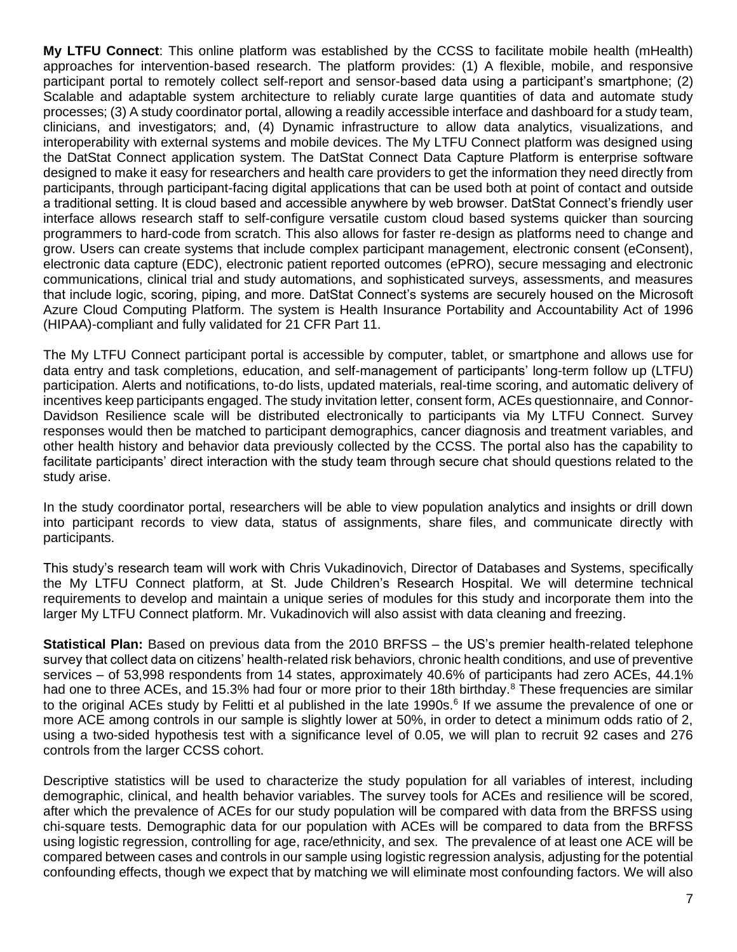**My LTFU Connect**: This online platform was established by the CCSS to facilitate mobile health (mHealth) approaches for intervention-based research. The platform provides: (1) A flexible, mobile, and responsive participant portal to remotely collect self-report and sensor-based data using a participant's smartphone; (2) Scalable and adaptable system architecture to reliably curate large quantities of data and automate study processes; (3) A study coordinator portal, allowing a readily accessible interface and dashboard for a study team, clinicians, and investigators; and, (4) Dynamic infrastructure to allow data analytics, visualizations, and interoperability with external systems and mobile devices. The My LTFU Connect platform was designed using the DatStat Connect application system. The DatStat Connect Data Capture Platform is enterprise software designed to make it easy for researchers and health care providers to get the information they need directly from participants, through participant-facing digital applications that can be used both at point of contact and outside a traditional setting. It is cloud based and accessible anywhere by web browser. DatStat Connect's friendly user interface allows research staff to self-configure versatile custom cloud based systems quicker than sourcing programmers to hard-code from scratch. This also allows for faster re-design as platforms need to change and grow. Users can create systems that include complex participant management, electronic consent (eConsent), electronic data capture (EDC), electronic patient reported outcomes (ePRO), secure messaging and electronic communications, clinical trial and study automations, and sophisticated surveys, assessments, and measures that include logic, scoring, piping, and more. DatStat Connect's systems are securely housed on the Microsoft Azure Cloud Computing Platform. The system is Health Insurance Portability and Accountability Act of 1996 (HIPAA)-compliant and fully validated for 21 CFR Part 11.

The My LTFU Connect participant portal is accessible by computer, tablet, or smartphone and allows use for data entry and task completions, education, and self-management of participants' long-term follow up (LTFU) participation. Alerts and notifications, to-do lists, updated materials, real-time scoring, and automatic delivery of incentives keep participants engaged. The study invitation letter, consent form, ACEs questionnaire, and Connor-Davidson Resilience scale will be distributed electronically to participants via My LTFU Connect. Survey responses would then be matched to participant demographics, cancer diagnosis and treatment variables, and other health history and behavior data previously collected by the CCSS. The portal also has the capability to facilitate participants' direct interaction with the study team through secure chat should questions related to the study arise.

In the study coordinator portal, researchers will be able to view population analytics and insights or drill down into participant records to view data, status of assignments, share files, and communicate directly with participants.

This study's research team will work with Chris Vukadinovich, Director of Databases and Systems, specifically the My LTFU Connect platform, at St. Jude Children's Research Hospital. We will determine technical requirements to develop and maintain a unique series of modules for this study and incorporate them into the larger My LTFU Connect platform. Mr. Vukadinovich will also assist with data cleaning and freezing.

**Statistical Plan:** Based on previous data from the 2010 BRFSS – the US's premier health-related telephone survey that collect data on citizens' health-related risk behaviors, chronic health conditions, and use of preventive services – of 53,998 respondents from 14 states, approximately 40.6% of participants had zero ACEs, 44.1% had one to three ACEs, and 15.3% had four or more prior to their 18th birthday.<sup>8</sup> These frequencies are similar to the original ACEs study by Felitti et al published in the late 1990s.<sup>6</sup> If we assume the prevalence of one or more ACE among controls in our sample is slightly lower at 50%, in order to detect a minimum odds ratio of 2, using a two-sided hypothesis test with a significance level of 0.05, we will plan to recruit 92 cases and 276 controls from the larger CCSS cohort.

Descriptive statistics will be used to characterize the study population for all variables of interest, including demographic, clinical, and health behavior variables. The survey tools for ACEs and resilience will be scored, after which the prevalence of ACEs for our study population will be compared with data from the BRFSS using chi-square tests. Demographic data for our population with ACEs will be compared to data from the BRFSS using logistic regression, controlling for age, race/ethnicity, and sex. The prevalence of at least one ACE will be compared between cases and controls in our sample using logistic regression analysis, adjusting for the potential confounding effects, though we expect that by matching we will eliminate most confounding factors. We will also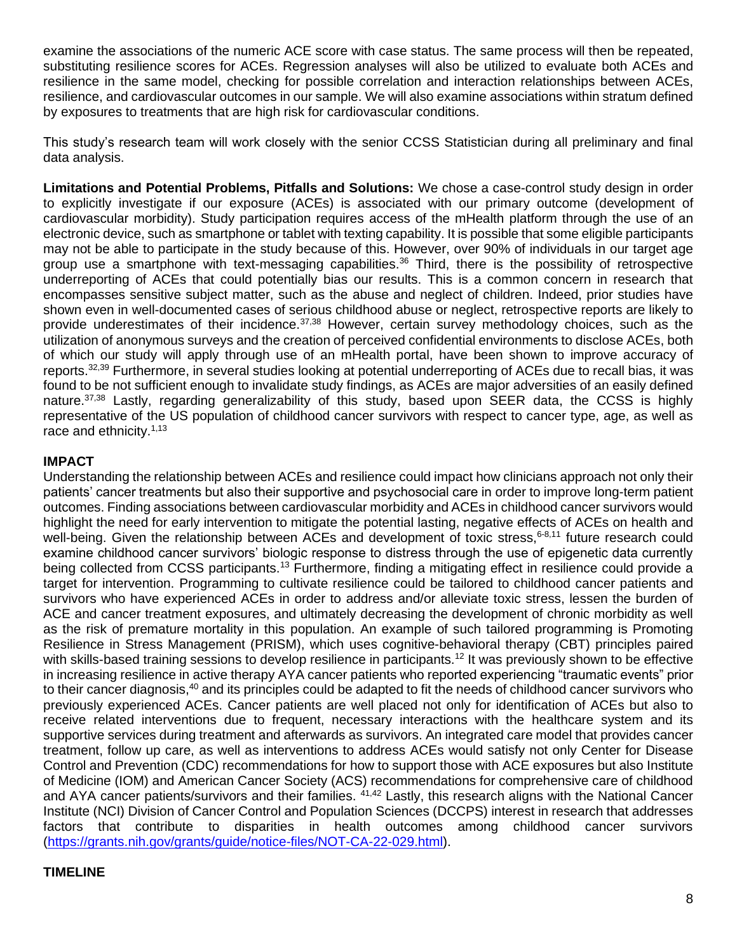examine the associations of the numeric ACE score with case status. The same process will then be repeated, substituting resilience scores for ACEs. Regression analyses will also be utilized to evaluate both ACEs and resilience in the same model, checking for possible correlation and interaction relationships between ACEs, resilience, and cardiovascular outcomes in our sample. We will also examine associations within stratum defined by exposures to treatments that are high risk for cardiovascular conditions.

This study's research team will work closely with the senior CCSS Statistician during all preliminary and final data analysis.

**Limitations and Potential Problems, Pitfalls and Solutions:** We chose a case-control study design in order to explicitly investigate if our exposure (ACEs) is associated with our primary outcome (development of cardiovascular morbidity). Study participation requires access of the mHealth platform through the use of an electronic device, such as smartphone or tablet with texting capability. It is possible that some eligible participants may not be able to participate in the study because of this. However, over 90% of individuals in our target age group use a smartphone with text-messaging capabilities.<sup>36</sup> Third, there is the possibility of retrospective underreporting of ACEs that could potentially bias our results. This is a common concern in research that encompasses sensitive subject matter, such as the abuse and neglect of children. Indeed, prior studies have shown even in well-documented cases of serious childhood abuse or neglect, retrospective reports are likely to provide underestimates of their incidence.<sup>37,38</sup> However, certain survey methodology choices, such as the utilization of anonymous surveys and the creation of perceived confidential environments to disclose ACEs, both of which our study will apply through use of an mHealth portal, have been shown to improve accuracy of reports.<sup>32,39</sup> Furthermore, in several studies looking at potential underreporting of ACEs due to recall bias, it was found to be not sufficient enough to invalidate study findings, as ACEs are major adversities of an easily defined nature.37,38 Lastly, regarding generalizability of this study, based upon SEER data, the CCSS is highly representative of the US population of childhood cancer survivors with respect to cancer type, age, as well as race and ethnicity.<sup>1,13</sup>

#### **IMPACT**

Understanding the relationship between ACEs and resilience could impact how clinicians approach not only their patients' cancer treatments but also their supportive and psychosocial care in order to improve long-term patient outcomes. Finding associations between cardiovascular morbidity and ACEs in childhood cancer survivors would highlight the need for early intervention to mitigate the potential lasting, negative effects of ACEs on health and well-being. Given the relationship between ACEs and development of toxic stress, 6-8,11 future research could examine childhood cancer survivors' biologic response to distress through the use of epigenetic data currently being collected from CCSS participants.<sup>13</sup> Furthermore, finding a mitigating effect in resilience could provide a target for intervention. Programming to cultivate resilience could be tailored to childhood cancer patients and survivors who have experienced ACEs in order to address and/or alleviate toxic stress, lessen the burden of ACE and cancer treatment exposures, and ultimately decreasing the development of chronic morbidity as well as the risk of premature mortality in this population. An example of such tailored programming is Promoting Resilience in Stress Management (PRISM), which uses cognitive-behavioral therapy (CBT) principles paired with skills-based training sessions to develop resilience in participants.<sup>12</sup> It was previously shown to be effective in increasing resilience in active therapy AYA cancer patients who reported experiencing "traumatic events" prior to their cancer diagnosis,<sup>40</sup> and its principles could be adapted to fit the needs of childhood cancer survivors who previously experienced ACEs. Cancer patients are well placed not only for identification of ACEs but also to receive related interventions due to frequent, necessary interactions with the healthcare system and its supportive services during treatment and afterwards as survivors. An integrated care model that provides cancer treatment, follow up care, as well as interventions to address ACEs would satisfy not only Center for Disease Control and Prevention (CDC) recommendations for how to support those with ACE exposures but also Institute of Medicine (IOM) and American Cancer Society (ACS) recommendations for comprehensive care of childhood and AYA cancer patients/survivors and their families. <sup>41,42</sup> Lastly, this research aligns with the National Cancer Institute (NCI) Division of Cancer Control and Population Sciences (DCCPS) interest in research that addresses factors that contribute to disparities in health outcomes among childhood cancer survivors [\(https://grants.nih.gov/grants/guide/notice-files/NOT-CA-22-029.html\)](https://grants.nih.gov/grants/guide/notice-files/NOT-CA-22-029.html).

#### **TIMELINE**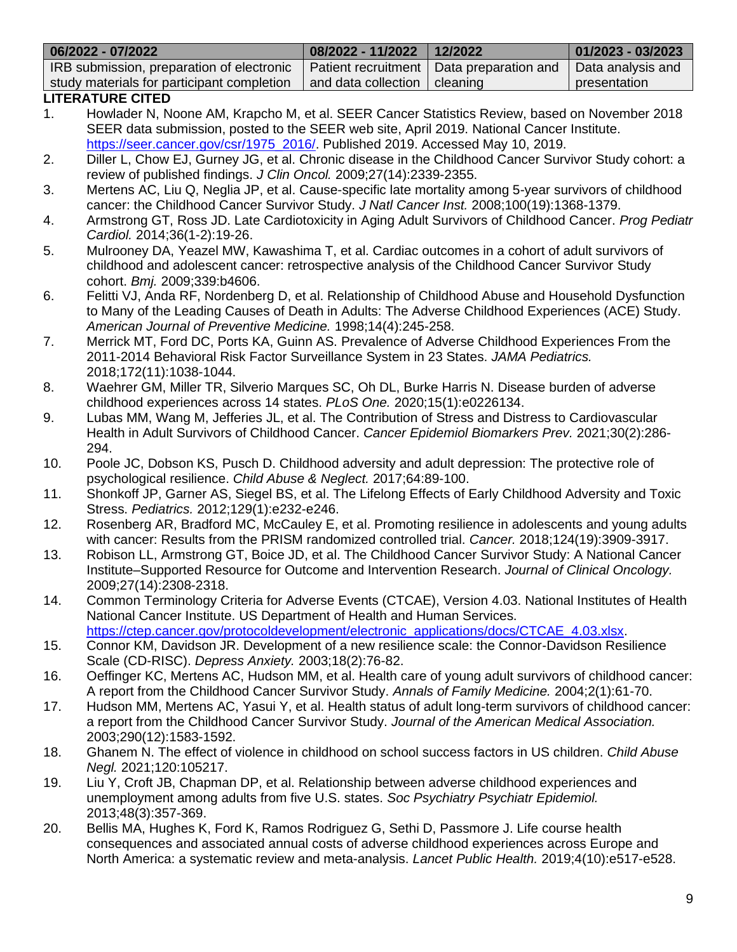|                                                                                                                                                                                                         | 06/2022 - 07/2022                                                                                   | 08/2022 - 11/2022                                                                                      | 12/2022              | 01/2023 - 03/2023 |  |  |  |
|---------------------------------------------------------------------------------------------------------------------------------------------------------------------------------------------------------|-----------------------------------------------------------------------------------------------------|--------------------------------------------------------------------------------------------------------|----------------------|-------------------|--|--|--|
|                                                                                                                                                                                                         | IRB submission, preparation of electronic                                                           | Patient recruitment                                                                                    | Data preparation and | Data analysis and |  |  |  |
|                                                                                                                                                                                                         | study materials for participant completion                                                          | and data collection                                                                                    | cleaning             | presentation      |  |  |  |
|                                                                                                                                                                                                         | <b>LITERATURE CITED</b>                                                                             |                                                                                                        |                      |                   |  |  |  |
|                                                                                                                                                                                                         | Howlader N, Noone AM, Krapcho M, et al. SEER Cancer Statistics Review, based on November 2018<br>1. |                                                                                                        |                      |                   |  |  |  |
|                                                                                                                                                                                                         | SEER data submission, posted to the SEER web site, April 2019. National Cancer Institute.           |                                                                                                        |                      |                   |  |  |  |
|                                                                                                                                                                                                         | https://seer.cancer.gov/csr/1975_2016/. Published 2019. Accessed May 10, 2019.                      |                                                                                                        |                      |                   |  |  |  |
| 2.                                                                                                                                                                                                      |                                                                                                     | Diller L, Chow EJ, Gurney JG, et al. Chronic disease in the Childhood Cancer Survivor Study cohort: a  |                      |                   |  |  |  |
|                                                                                                                                                                                                         | review of published findings. J Clin Oncol. 2009;27(14):2339-2355.                                  |                                                                                                        |                      |                   |  |  |  |
| 3.                                                                                                                                                                                                      |                                                                                                     | Mertens AC, Liu Q, Neglia JP, et al. Cause-specific late mortality among 5-year survivors of childhood |                      |                   |  |  |  |
| cancer: the Childhood Cancer Survivor Study. J Natl Cancer Inst. 2008;100(19):1368-1379.<br>Armstrong GT, Ross JD. Late Cardiotoxicity in Aging Adult Survivors of Childhood Cancer. Prog Pediatr       |                                                                                                     |                                                                                                        |                      |                   |  |  |  |
| 4.                                                                                                                                                                                                      |                                                                                                     |                                                                                                        |                      |                   |  |  |  |
|                                                                                                                                                                                                         | Cardiol. 2014;36(1-2):19-26.                                                                        |                                                                                                        |                      |                   |  |  |  |
| 5.<br>Mulrooney DA, Yeazel MW, Kawashima T, et al. Cardiac outcomes in a cohort of adult survivors of<br>childhood and adolescent cancer: retrospective analysis of the Childhood Cancer Survivor Study |                                                                                                     |                                                                                                        |                      |                   |  |  |  |
|                                                                                                                                                                                                         | cohort. Bmj. 2009;339:b4606.                                                                        |                                                                                                        |                      |                   |  |  |  |
| 6.                                                                                                                                                                                                      | Felitti VJ, Anda RF, Nordenberg D, et al. Relationship of Childhood Abuse and Household Dysfunction |                                                                                                        |                      |                   |  |  |  |
|                                                                                                                                                                                                         | to Many of the Leading Causes of Death in Adults: The Adverse Childhood Experiences (ACE) Study.    |                                                                                                        |                      |                   |  |  |  |
|                                                                                                                                                                                                         | American Journal of Preventive Medicine. 1998;14(4):245-258.                                        |                                                                                                        |                      |                   |  |  |  |
| 7.                                                                                                                                                                                                      | Merrick MT, Ford DC, Ports KA, Guinn AS. Prevalence of Adverse Childhood Experiences From the       |                                                                                                        |                      |                   |  |  |  |
|                                                                                                                                                                                                         | 2011-2014 Behavioral Risk Factor Surveillance System in 23 States. JAMA Pediatrics.                 |                                                                                                        |                      |                   |  |  |  |
|                                                                                                                                                                                                         | 2018;172(11):1038-1044.                                                                             |                                                                                                        |                      |                   |  |  |  |

- 8. Waehrer GM, Miller TR, Silverio Marques SC, Oh DL, Burke Harris N. Disease burden of adverse childhood experiences across 14 states. *PLoS One.* 2020;15(1):e0226134.
- 9. Lubas MM, Wang M, Jefferies JL, et al. The Contribution of Stress and Distress to Cardiovascular Health in Adult Survivors of Childhood Cancer. *Cancer Epidemiol Biomarkers Prev.* 2021;30(2):286- 294.
- 10. Poole JC, Dobson KS, Pusch D. Childhood adversity and adult depression: The protective role of psychological resilience. *Child Abuse & Neglect.* 2017;64:89-100.
- 11. Shonkoff JP, Garner AS, Siegel BS, et al. The Lifelong Effects of Early Childhood Adversity and Toxic Stress. *Pediatrics.* 2012;129(1):e232-e246.
- 12. Rosenberg AR, Bradford MC, McCauley E, et al. Promoting resilience in adolescents and young adults with cancer: Results from the PRISM randomized controlled trial. *Cancer.* 2018;124(19):3909-3917.
- 13. Robison LL, Armstrong GT, Boice JD, et al. The Childhood Cancer Survivor Study: A National Cancer Institute–Supported Resource for Outcome and Intervention Research. *Journal of Clinical Oncology.*  2009;27(14):2308-2318.
- 14. Common Terminology Criteria for Adverse Events (CTCAE), Version 4.03. National Institutes of Health National Cancer Institute. US Department of Health and Human Services. [https://ctep.cancer.gov/protocoldevelopment/electronic\\_applications/docs/CTCAE\\_4.03.xlsx.](https://ctep.cancer.gov/protocoldevelopment/electronic_applications/docs/CTCAE_4.03.xlsx)
- 15. Connor KM, Davidson JR. Development of a new resilience scale: the Connor-Davidson Resilience Scale (CD-RISC). *Depress Anxiety.* 2003;18(2):76-82.
- 16. Oeffinger KC, Mertens AC, Hudson MM, et al. Health care of young adult survivors of childhood cancer: A report from the Childhood Cancer Survivor Study. *Annals of Family Medicine.* 2004;2(1):61-70.
- 17. Hudson MM, Mertens AC, Yasui Y, et al. Health status of adult long-term survivors of childhood cancer: a report from the Childhood Cancer Survivor Study. *Journal of the American Medical Association.*  2003;290(12):1583-1592.
- 18. Ghanem N. The effect of violence in childhood on school success factors in US children. *Child Abuse Negl.* 2021;120:105217.
- 19. Liu Y, Croft JB, Chapman DP, et al. Relationship between adverse childhood experiences and unemployment among adults from five U.S. states. *Soc Psychiatry Psychiatr Epidemiol.*  2013;48(3):357-369.
- 20. Bellis MA, Hughes K, Ford K, Ramos Rodriguez G, Sethi D, Passmore J. Life course health consequences and associated annual costs of adverse childhood experiences across Europe and North America: a systematic review and meta-analysis. *Lancet Public Health.* 2019;4(10):e517-e528.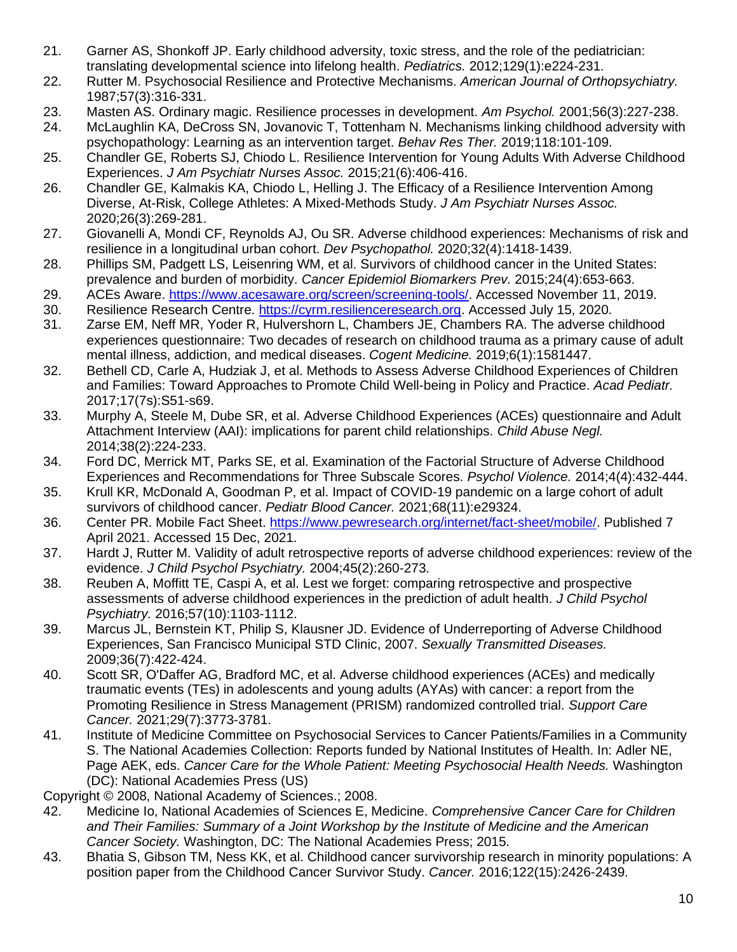- 21. Garner AS, Shonkoff JP. Early childhood adversity, toxic stress, and the role of the pediatrician: translating developmental science into lifelong health. *Pediatrics.* 2012;129(1):e224-231.
- 22. Rutter M. Psychosocial Resilience and Protective Mechanisms. *American Journal of Orthopsychiatry.*  1987;57(3):316-331.
- 23. Masten AS. Ordinary magic. Resilience processes in development. *Am Psychol.* 2001;56(3):227-238.
- 24. McLaughlin KA, DeCross SN, Jovanovic T, Tottenham N. Mechanisms linking childhood adversity with psychopathology: Learning as an intervention target. *Behav Res Ther.* 2019;118:101-109.
- 25. Chandler GE, Roberts SJ, Chiodo L. Resilience Intervention for Young Adults With Adverse Childhood Experiences. *J Am Psychiatr Nurses Assoc.* 2015;21(6):406-416.
- 26. Chandler GE, Kalmakis KA, Chiodo L, Helling J. The Efficacy of a Resilience Intervention Among Diverse, At-Risk, College Athletes: A Mixed-Methods Study. *J Am Psychiatr Nurses Assoc.*  2020;26(3):269-281.
- 27. Giovanelli A, Mondi CF, Reynolds AJ, Ou SR. Adverse childhood experiences: Mechanisms of risk and resilience in a longitudinal urban cohort. *Dev Psychopathol.* 2020;32(4):1418-1439.
- 28. Phillips SM, Padgett LS, Leisenring WM, et al. Survivors of childhood cancer in the United States: prevalence and burden of morbidity. *Cancer Epidemiol Biomarkers Prev.* 2015;24(4):653-663.
- 29. ACEs Aware. [https://www.acesaware.org/screen/screening-tools/.](https://www.acesaware.org/screen/screening-tools/) Accessed November 11, 2019.
- 30. Resilience Research Centre. [https://cyrm.resilienceresearch.org.](https://cyrm.resilienceresearch.org/) Accessed July 15, 2020.
- 31. Zarse EM, Neff MR, Yoder R, Hulvershorn L, Chambers JE, Chambers RA. The adverse childhood experiences questionnaire: Two decades of research on childhood trauma as a primary cause of adult mental illness, addiction, and medical diseases. *Cogent Medicine.* 2019;6(1):1581447.
- 32. Bethell CD, Carle A, Hudziak J, et al. Methods to Assess Adverse Childhood Experiences of Children and Families: Toward Approaches to Promote Child Well-being in Policy and Practice. *Acad Pediatr.*  2017;17(7s):S51-s69.
- 33. Murphy A, Steele M, Dube SR, et al. Adverse Childhood Experiences (ACEs) questionnaire and Adult Attachment Interview (AAI): implications for parent child relationships. *Child Abuse Negl.*  2014;38(2):224-233.
- 34. Ford DC, Merrick MT, Parks SE, et al. Examination of the Factorial Structure of Adverse Childhood Experiences and Recommendations for Three Subscale Scores. *Psychol Violence.* 2014;4(4):432-444.
- 35. Krull KR, McDonald A, Goodman P, et al. Impact of COVID-19 pandemic on a large cohort of adult survivors of childhood cancer. *Pediatr Blood Cancer.* 2021;68(11):e29324.
- 36. Center PR. Mobile Fact Sheet. [https://www.pewresearch.org/internet/fact-sheet/mobile/.](https://www.pewresearch.org/internet/fact-sheet/mobile/) Published 7 April 2021. Accessed 15 Dec, 2021.
- 37. Hardt J, Rutter M. Validity of adult retrospective reports of adverse childhood experiences: review of the evidence. *J Child Psychol Psychiatry.* 2004;45(2):260-273.
- 38. Reuben A, Moffitt TE, Caspi A, et al. Lest we forget: comparing retrospective and prospective assessments of adverse childhood experiences in the prediction of adult health. *J Child Psychol Psychiatry.* 2016;57(10):1103-1112.
- 39. Marcus JL, Bernstein KT, Philip S, Klausner JD. Evidence of Underreporting of Adverse Childhood Experiences, San Francisco Municipal STD Clinic, 2007. *Sexually Transmitted Diseases.*  2009;36(7):422-424.
- 40. Scott SR, O'Daffer AG, Bradford MC, et al. Adverse childhood experiences (ACEs) and medically traumatic events (TEs) in adolescents and young adults (AYAs) with cancer: a report from the Promoting Resilience in Stress Management (PRISM) randomized controlled trial. *Support Care Cancer.* 2021;29(7):3773-3781.
- 41. Institute of Medicine Committee on Psychosocial Services to Cancer Patients/Families in a Community S. The National Academies Collection: Reports funded by National Institutes of Health. In: Adler NE, Page AEK, eds. *Cancer Care for the Whole Patient: Meeting Psychosocial Health Needs.* Washington (DC): National Academies Press (US)
- Copyright © 2008, National Academy of Sciences.; 2008.
- 42. Medicine Io, National Academies of Sciences E, Medicine. *Comprehensive Cancer Care for Children and Their Families: Summary of a Joint Workshop by the Institute of Medicine and the American Cancer Society.* Washington, DC: The National Academies Press; 2015.
- 43. Bhatia S, Gibson TM, Ness KK, et al. Childhood cancer survivorship research in minority populations: A position paper from the Childhood Cancer Survivor Study. *Cancer.* 2016;122(15):2426-2439.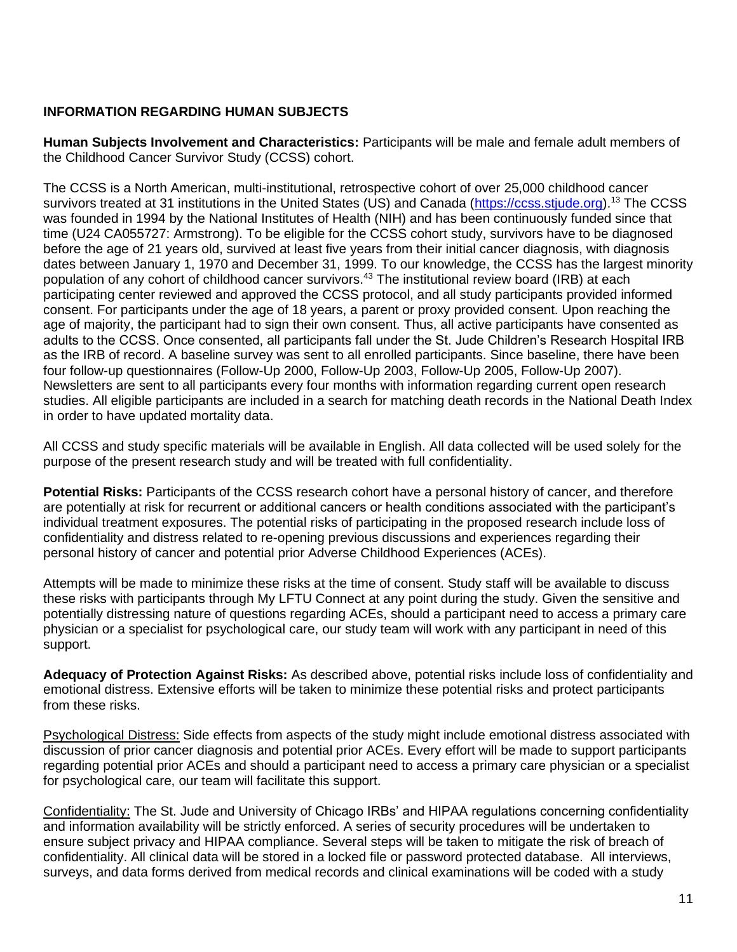# **INFORMATION REGARDING HUMAN SUBJECTS**

**Human Subjects Involvement and Characteristics:** Participants will be male and female adult members of the Childhood Cancer Survivor Study (CCSS) cohort.

The CCSS is a North American, multi-institutional, retrospective cohort of over 25,000 childhood cancer survivors treated at 31 institutions in the United States (US) and Canada [\(https://ccss.stjude.org\)](https://ccss.stjude.org/).<sup>13</sup> The CCSS was founded in 1994 by the National Institutes of Health (NIH) and has been continuously funded since that time (U24 CA055727: Armstrong). To be eligible for the CCSS cohort study, survivors have to be diagnosed before the age of 21 years old, survived at least five years from their initial cancer diagnosis, with diagnosis dates between January 1, 1970 and December 31, 1999. To our knowledge, the CCSS has the largest minority population of any cohort of childhood cancer survivors.<sup>43</sup> The institutional review board (IRB) at each participating center reviewed and approved the CCSS protocol, and all study participants provided informed consent. For participants under the age of 18 years, a parent or proxy provided consent. Upon reaching the age of majority, the participant had to sign their own consent. Thus, all active participants have consented as adults to the CCSS. Once consented, all participants fall under the St. Jude Children's Research Hospital IRB as the IRB of record. A baseline survey was sent to all enrolled participants. Since baseline, there have been four follow-up questionnaires (Follow-Up 2000, Follow-Up 2003, Follow-Up 2005, Follow-Up 2007). Newsletters are sent to all participants every four months with information regarding current open research studies. All eligible participants are included in a search for matching death records in the National Death Index in order to have updated mortality data.

All CCSS and study specific materials will be available in English. All data collected will be used solely for the purpose of the present research study and will be treated with full confidentiality.

**Potential Risks:** Participants of the CCSS research cohort have a personal history of cancer, and therefore are potentially at risk for recurrent or additional cancers or health conditions associated with the participant's individual treatment exposures. The potential risks of participating in the proposed research include loss of confidentiality and distress related to re-opening previous discussions and experiences regarding their personal history of cancer and potential prior Adverse Childhood Experiences (ACEs).

Attempts will be made to minimize these risks at the time of consent. Study staff will be available to discuss these risks with participants through My LFTU Connect at any point during the study. Given the sensitive and potentially distressing nature of questions regarding ACEs, should a participant need to access a primary care physician or a specialist for psychological care, our study team will work with any participant in need of this support.

**Adequacy of Protection Against Risks:** As described above, potential risks include loss of confidentiality and emotional distress. Extensive efforts will be taken to minimize these potential risks and protect participants from these risks.

Psychological Distress: Side effects from aspects of the study might include emotional distress associated with discussion of prior cancer diagnosis and potential prior ACEs. Every effort will be made to support participants regarding potential prior ACEs and should a participant need to access a primary care physician or a specialist for psychological care, our team will facilitate this support.

Confidentiality: The St. Jude and University of Chicago IRBs' and HIPAA regulations concerning confidentiality and information availability will be strictly enforced. A series of security procedures will be undertaken to ensure subject privacy and HIPAA compliance. Several steps will be taken to mitigate the risk of breach of confidentiality. All clinical data will be stored in a locked file or password protected database. All interviews, surveys, and data forms derived from medical records and clinical examinations will be coded with a study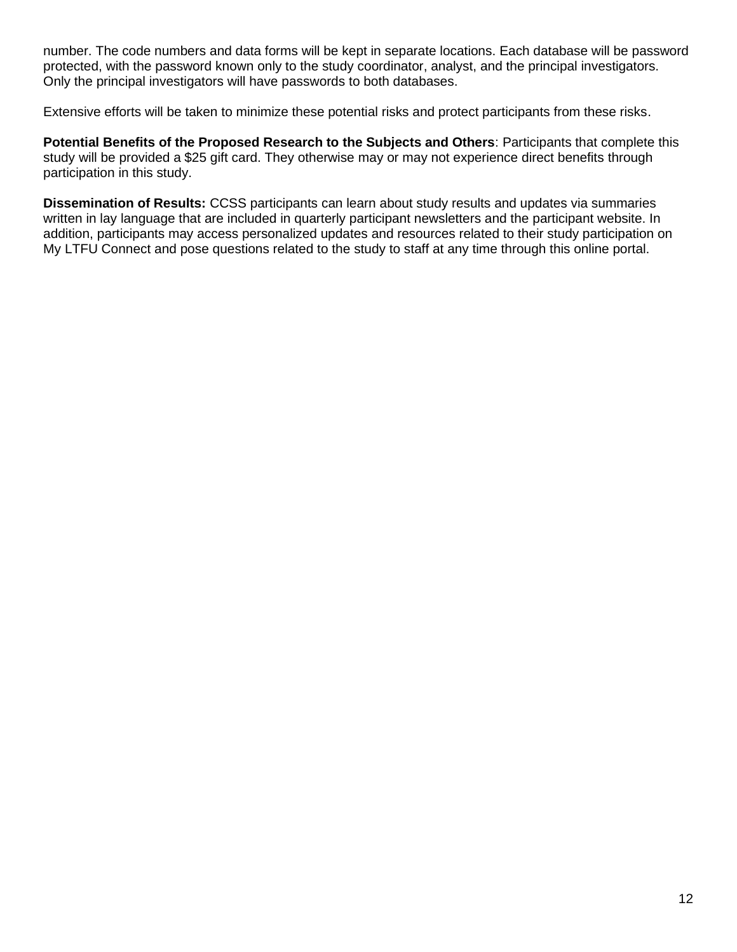number. The code numbers and data forms will be kept in separate locations. Each database will be password protected, with the password known only to the study coordinator, analyst, and the principal investigators. Only the principal investigators will have passwords to both databases.

Extensive efforts will be taken to minimize these potential risks and protect participants from these risks.

**Potential Benefits of the Proposed Research to the Subjects and Others**: Participants that complete this study will be provided a \$25 gift card. They otherwise may or may not experience direct benefits through participation in this study.

**Dissemination of Results:** CCSS participants can learn about study results and updates via summaries written in lay language that are included in quarterly participant newsletters and the participant website. In addition, participants may access personalized updates and resources related to their study participation on My LTFU Connect and pose questions related to the study to staff at any time through this online portal.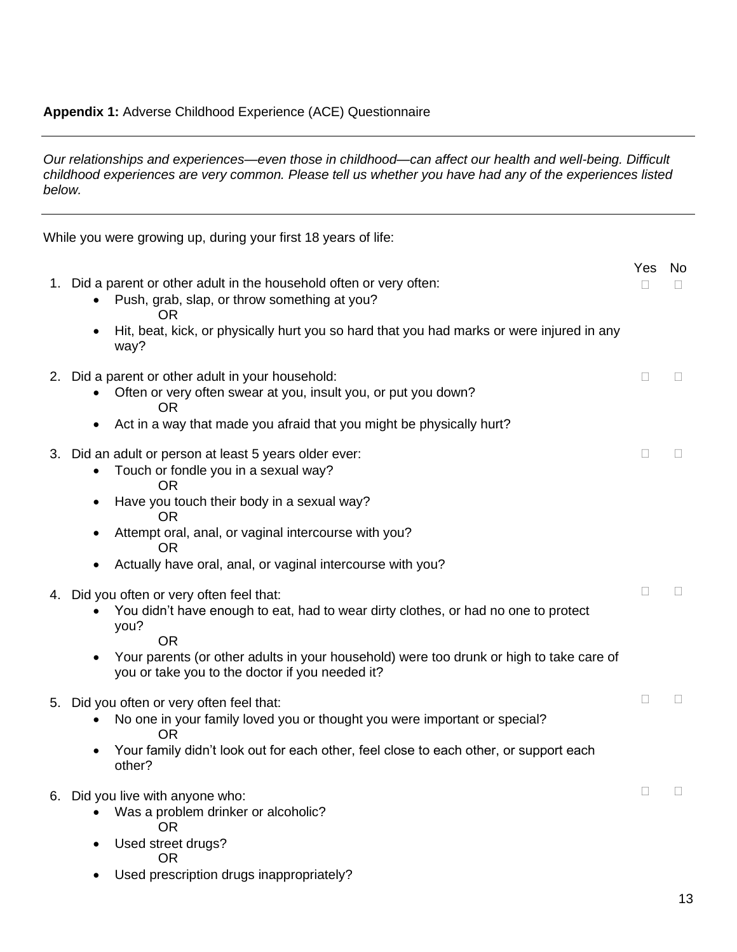# **Appendix 1:** Adverse Childhood Experience (ACE) Questionnaire

*Our relationships and experiences—even those in childhood—can affect our health and well-being. Difficult childhood experiences are very common. Please tell us whether you have had any of the experiences listed below.* 

While you were growing up, during your first 18 years of life:

|    |                                                                                                                                                                                                                           | Yes | No             |
|----|---------------------------------------------------------------------------------------------------------------------------------------------------------------------------------------------------------------------------|-----|----------------|
|    | 1. Did a parent or other adult in the household often or very often:<br>Push, grab, slap, or throw something at you?<br>0R                                                                                                | П   |                |
|    | Hit, beat, kick, or physically hurt you so hard that you had marks or were injured in any<br>$\bullet$<br>way?                                                                                                            |     |                |
|    | 2. Did a parent or other adult in your household:<br>Often or very often swear at you, insult you, or put you down?<br>0R                                                                                                 | П   | П              |
|    | Act in a way that made you afraid that you might be physically hurt?                                                                                                                                                      |     |                |
|    | 3. Did an adult or person at least 5 years older ever:<br>Touch or fondle you in a sexual way?<br>OR                                                                                                                      | П   | $\mathbb{R}^n$ |
|    | Have you touch their body in a sexual way?<br>$\bullet$<br>OR                                                                                                                                                             |     |                |
|    | Attempt oral, anal, or vaginal intercourse with you?<br>٠<br>OR.                                                                                                                                                          |     |                |
|    | Actually have oral, anal, or vaginal intercourse with you?<br>$\bullet$                                                                                                                                                   |     |                |
| 4. | Did you often or very often feel that:<br>You didn't have enough to eat, had to wear dirty clothes, or had no one to protect<br>you?<br><b>OR</b>                                                                         | П   | П              |
|    | Your parents (or other adults in your household) were too drunk or high to take care of<br>you or take you to the doctor if you needed it?                                                                                |     |                |
| 5. | Did you often or very often feel that:<br>No one in your family loved you or thought you were important or special?<br><b>OR</b><br>Your family didn't look out for each other, feel close to each other, or support each | П   | П              |
|    | other?                                                                                                                                                                                                                    |     |                |
|    | 6. Did you live with anyone who:<br>Was a problem drinker or alcoholic?<br><b>OR</b><br>Used street drugs?<br>$\bullet$                                                                                                   | П   | $\Box$         |
|    | <b>OR</b><br>Used prescription drugs inappropriately?                                                                                                                                                                     |     |                |
|    |                                                                                                                                                                                                                           |     |                |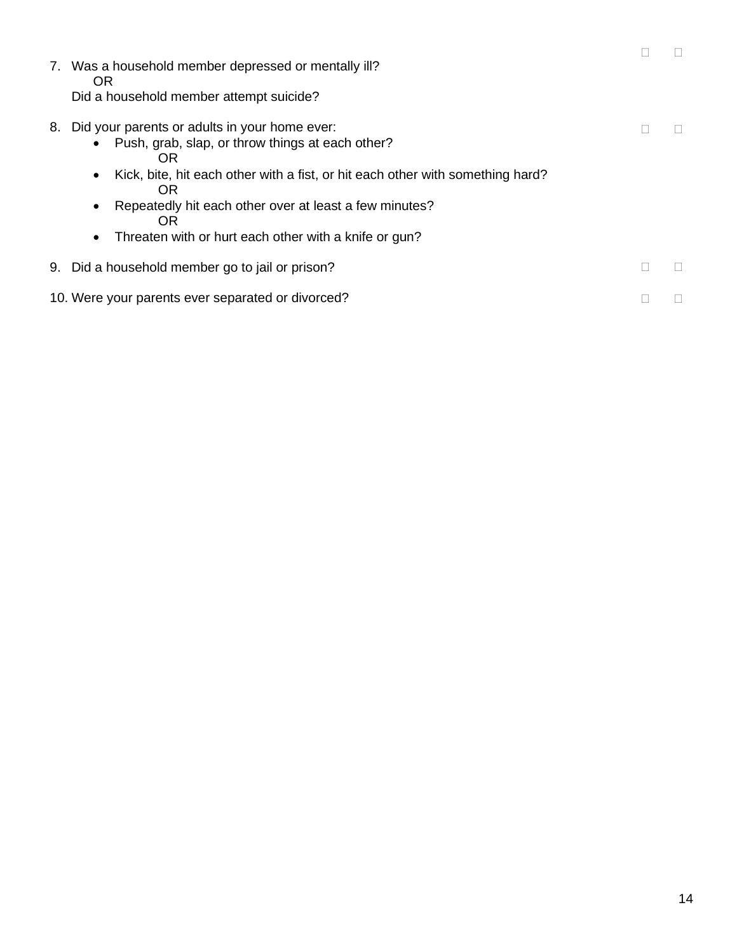|    | 7. Was a household member depressed or mentally ill?<br>OR.<br>Did a household member attempt suicide?                                                                                                                                                                                                                                                                      |  |
|----|-----------------------------------------------------------------------------------------------------------------------------------------------------------------------------------------------------------------------------------------------------------------------------------------------------------------------------------------------------------------------------|--|
| 8. | Did your parents or adults in your home ever:<br>Push, grab, slap, or throw things at each other?<br>$\bullet$<br>OR<br>Kick, bite, hit each other with a fist, or hit each other with something hard?<br>٠<br><b>OR</b><br>Repeatedly hit each other over at least a few minutes?<br>$\bullet$<br>OR<br>Threaten with or hurt each other with a knife or gun?<br>$\bullet$ |  |
|    | 9. Did a household member go to jail or prison?                                                                                                                                                                                                                                                                                                                             |  |
|    | 10. Were your parents ever separated or divorced?                                                                                                                                                                                                                                                                                                                           |  |